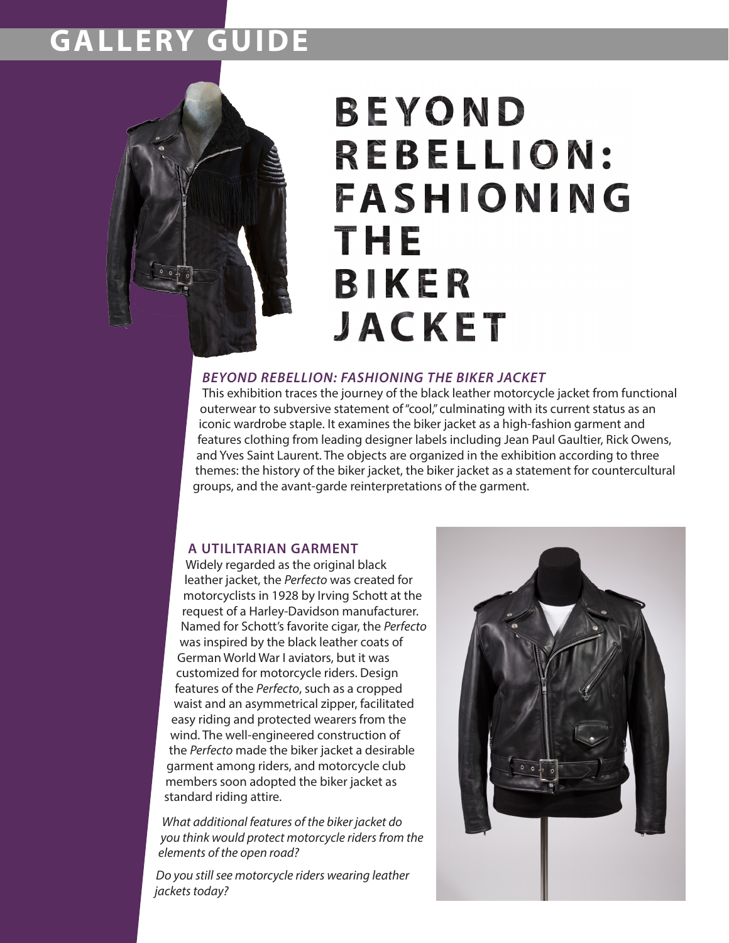### **GALLERY GUIDE**



# BEYOND REBELLION: FASHIONING The BIKER **JACKET**

#### *BEYOND REBELLION: FASHIONING THE BIKER JACKET*

This exhibition traces the journey of the black leather motorcycle jacket from functional outerwear to subversive statement of "cool," culminating with its current status as an iconic wardrobe staple. It examines the biker jacket as a high-fashion garment and features clothing from leading designer labels including Jean Paul Gaultier, Rick Owens, and Yves Saint Laurent. The objects are organized in the exhibition according to three themes: the history of the biker jacket, the biker jacket as a statement for countercultural groups, and the avant-garde reinterpretations of the garment.

### **A UTILITARIAN GARMENT**

Widely regarded as the original black leather jacket, the *Perfecto* was created for motorcyclists in 1928 by Irving Schott at the request of a Harley-Davidson manufacturer. Named for Schott's favorite cigar, the *Perfecto* was inspired by the black leather coats of German World War I aviators, but it was customized for motorcycle riders. Design features of the *Perfecto*, such as a cropped waist and an asymmetrical zipper, facilitated easy riding and protected wearers from the wind. The well-engineered construction of the *Perfecto* made the biker jacket a desirable garment among riders, and motorcycle club members soon adopted the biker jacket as standard riding attire.

*What additional features of the biker jacket do you think would protect motorcycle riders from the elements of the open road?* 

*Do you still see motorcycle riders wearing leather jackets today?*